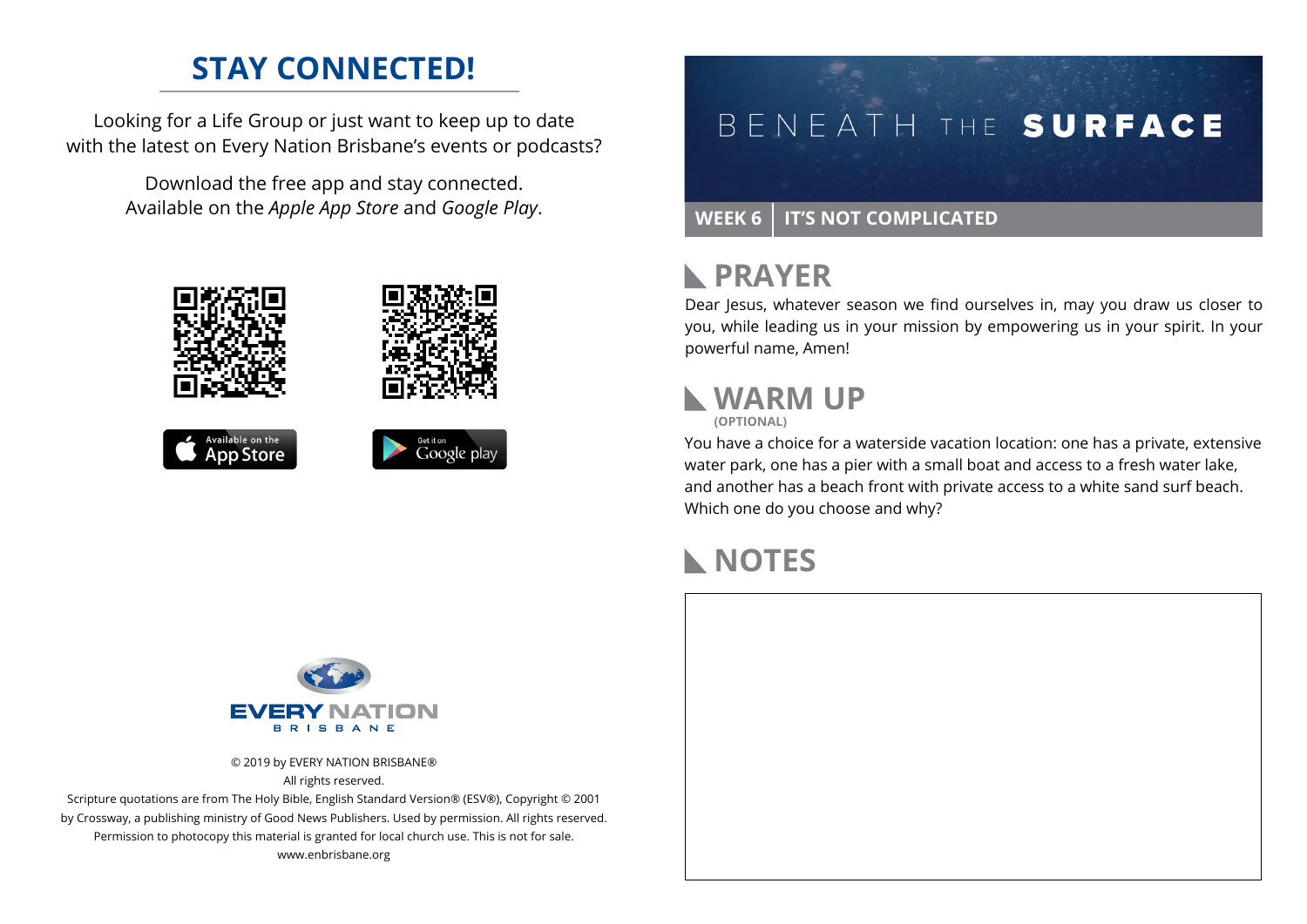#### **STAY CONNECTED!**

Looking for a Life Group or just want to keep up to date with the latest on Every Nation Brisbane's events or podcasts?

> Download the free app and stay connected. Available on the *Apple App Store* and *Google Play*.







# BENEATH THE SURFACE

#### WEEK 6 | IT'S NOT COMPLICATED

#### **RAYER**

Dear Jesus, whatever season we find ourselves in, may you draw us closer to you, while leading us in your mission by empowering us in your spirit. In your powerful name, Amen!

# **WARM UP**

**(OPTIONAL)**

You have a choice for a waterside vacation location: one has a private, extensive water park, one has a pier with a small boat and access to a fresh water lake, and another has a beach front with private access to a white sand surf beach. Which one do you choose and why?

#### **NOTES**



© 2019 by EVERY NATION BRISBANE® All rights reserved.

Scripture quotations are from The Holy Bible, English Standard Version® (ESV®), Copyright © 2001 by Crossway, a publishing ministry of Good News Publishers. Used by permission. All rights reserved. Permission to photocopy this material is granted for local church use. This is not for sale. www.enbrisbane.org